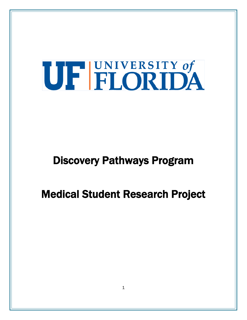# UF FLORIDA

## Discovery Pathways Program

## Medical Student Research Project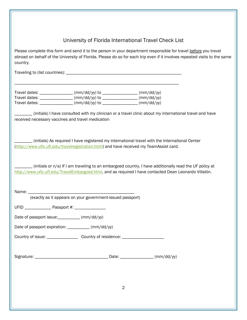University of Florida International Travel Check List

Please complete this form and send it to the person in your department responsible for travel before you travel abroad on behalf of the University of Florida. Please do so for each trip even if it involves repeated visits to the same country.

Traveling to (list countries): \_\_\_\_\_\_\_\_\_\_\_\_\_\_\_\_\_\_\_\_\_\_\_\_\_\_\_\_\_\_\_\_\_\_\_\_\_\_\_\_\_\_\_\_\_\_\_\_\_\_\_\_

| Travel dates: | $\frac{m}{d}$ (mm/dd/yy) to | (mm/dd/yy) |
|---------------|-----------------------------|------------|
| Travel dates: | $\frac{m}{d}$ (mm/dd/yy) to | (mm/dd/yy) |
| Travel dates: | $\frac{m}{d}$ (mm/dd/yy) to | (mm/dd/yy) |

\_\_\_\_\_\_\_\_\_\_\_\_\_\_\_\_\_\_\_\_\_\_\_\_\_\_\_\_\_\_\_\_\_\_\_\_\_\_\_\_\_\_\_\_\_\_\_\_\_\_\_\_\_\_\_\_\_\_\_\_\_\_\_\_\_\_\_\_\_\_\_\_\_\_

\_\_\_\_\_\_\_\_ (initials) I have consulted with my clinician or a travel clinic about my international travel and have received necessary vaccines and travel medication

\_\_\_\_\_\_\_\_ (initials) As required I have registered my international travel with the International Center [\(http://www.ufic.ufl.edu/travelregistration.html\)](http://www.ufic.ufl.edu/travelregistration.html) and have received my TeamAssist card*.*

 $\mu$  (initials or n/a) If I am traveling to an embargoed country, I have additionally read the UF policy at [http://www.ufic.ufl.edu/TravelEmbargoed.html,](http://www.ufic.ufl.edu/TravelEmbargoed.html) and as required I have contacted Dean Leonardo Villalón.

Name:  $\Box$ 

(exactly as it appears on your government-issued passport)

UFID Passport #:

Date of passport issue: \_\_\_\_\_\_\_\_\_ (mm/dd/yy)

Date of passport expiration: \_\_\_\_\_\_\_\_\_\_ (mm/dd/yy)

Country of issue: \_\_\_\_\_\_\_\_\_\_\_\_\_\_\_\_\_\_\_\_ Country of residence: \_\_\_\_\_\_\_\_\_\_\_\_\_\_\_\_\_\_\_\_

Signature: \_\_\_\_\_\_\_\_\_\_\_\_\_\_\_\_\_\_\_\_\_\_\_\_\_\_\_\_\_\_\_\_\_ Date: \_\_\_\_\_\_\_\_\_\_\_\_\_\_\_ (mm/dd/yy)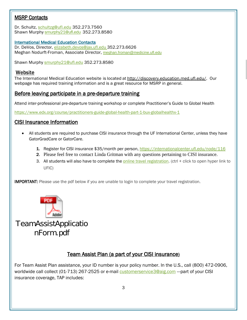#### MSRP Contacts

Dr. Schultz, [schultzg@ufl.edu](mailto:schultzg@ufl.edu) 352.273.7560 Shawn Murphy [smurphy21@ufl.edu](mailto:smurphy21@ufl.edu) 352.273.8580

#### International Medical Education Contacts

Dr. DeVos, Director, [elizabeth.devos@jax.ufl.edu](mailto:elizabeth.devos@jax.ufl.edu) 352.273.6626 Meghan Nodurft-Froman, Associate Director, [meghan.froman@medicine.ufl.edu](mailto:meghan.froman@medicine.ufl.edu)

Shawn Murphy smurphy 21@ufl.edu 352.273.8580

#### Website

The International Medical Education website is located at http://discovery.education.med.ufl.edu/. Our webpage has required training information and is a great resource for MSRP in general.

#### Before leaving participate in a pre-departure training

Attend inter-professional pre-departure training workshop or complete Practitioner's Guide to Global Health

<https://www.edx.org/course/practitioners-guide-global-health-part-1-bux-globalhealthx-1>

#### CISI Insurance Information

- All students are required to purchase CISI insurance through the UF International Center, unless they have GatorGradCare or GatorCare.
	- 1. Register for CISI insurance \$35/month per person,<https://internationalcenter.ufl.edu/node/116>
	- 2. Please feel free to contact Linda Gritman with any questions pertaining to CISI insurance.
	- 3. All students will also have to complete the [online travel registration.](https://internationalcenter.ufl.edu/travel/online-travel-registration) (ctrl + click to open hyper link to UFIC)

**IMPORTANT:** Please use the pdf below if you are unable to login to complete your travel registration.



TeamAssistApplicatio nForm.pdf

#### Team Assist Plan (a part of your CISI insurance)

For Team Assist Plan assistance, your ID number is your policy number. In the U.S., call (800) 472-0906, worldwide call collect (01-713) 267-2525 or e-mail [customerservice3@aig.com](mailto:customerservice3@aig.com) ---part of your CISI insurance coverage, TAP includes: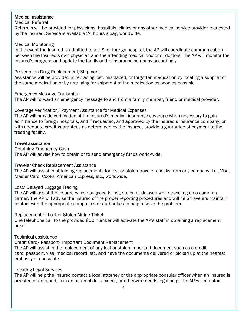#### Medical assistance

#### Medical Referral

Referrals will be provided for physicians, hospitals, clinics or any other medical service provider requested by the Insured. Service is available 24 hours a day, worldwide.

#### Medical Monitoring

In the event the Insured is admitted to a U.S. or foreign hospital, the AP will coordinate communication between the Insured's own physician and the attending medical doctor or doctors. The AP will monitor the Insured's progress and update the family or the insurance company accordingly.

#### Prescription Drug Replacement/Shipment

Assistance will be provided in replacing lost, misplaced, or forgotten medication by locating a supplier of the same medication or by arranging for shipment of the medication as soon as possible.

Emergency Message Transmittal

The AP will forward an emergency message to and from a family member, friend or medical provider.

#### Coverage Verification/ Payment Assistance for Medical Expenses

The AP will provide verification of the Insured's medical insurance coverage when necessary to gain admittance to foreign hospitals, and if requested, and approved by the Insured's insurance company, or with adequate credit guarantees as determined by the Insured, provide a guarantee of payment to the treating facility.

#### Travel assistance

Obtaining Emergency Cash The AP will advise how to obtain or to send emergency funds world-wide.

Traveler Check Replacement Assistance

The AP will assist in obtaining replacements for lost or stolen traveler checks from any company, i.e., Visa, Master Card, Cooks, American Express, etc., worldwide.

#### Lost/ Delayed Luggage Tracing

The AP will assist the Insured whose baggage is lost, stolen or delayed while traveling on a common carrier. The AP will advise the Insured of the proper reporting procedures and will help travelers maintain contact with the appropriate companies or authorities to help resolve the problem.

Replacement of Lost or Stolen Airline Ticket

One telephone call to the provided 800 number will activate the AP's staff in obtaining a replacement ticket.

#### Technical assistance

Credit Card/ Passport/ Important Document Replacement

The AP will assist in the replacement of any lost or stolen important document such as a credit card, passport, visa, medical record, etc. and have the documents delivered or picked up at the nearest embassy or consulate.

#### Locating Legal Services

The AP will help the Insured contact a local attorney or the appropriate consular officer when an Insured is arrested or detained, is in an automobile accident, or otherwise needs legal help. The AP will maintain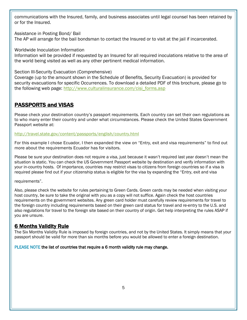communications with the Insured, family, and business associates until legal counsel has been retained by or for the Insured.

Assistance in Posting Bond/ Bail

The AP will arrange for the bail bondsman to contact the Insured or to visit at the jail if incarcerated.

Worldwide Inoculation Information

Information will be provided if requested by an Insured for all required inoculations relative to the area of the world being visited as well as any other pertinent medical information.

Section III-Security Evacuation (Comprehensive)

Coverage (up to the amount shown in the Schedule of Benefits, Security Evacuation) is provided for security evacuations for specific Occurrences. To download a detailed PDF of this brochure, please go to the following web page: [http://www.culturalinsurance.com/cisi\\_forms.asp](http://www.culturalinsurance.com/cisi_forms.asp)

#### PASSPORTS and VISAS

Please check your destination country's passport requirements. Each country can set their own regulations as to who many enter their country and under what circumstances. Please check the United States Government Passport website at:

<http://travel.state.gov/content/passports/english/country.html>

For this example I chose Ecuador, I then expanded the view on "Entry, exit and visa requirements" to find out more about the requirements Ecuador has for visitors.

Please be sure your destination does not require a visa, just because it wasn't required last year doesn't mean the situation is static. You can check the US Government Passport website by destination and verify information with your in-country hosts. Of importance, countries may restrict visas to citizens from foreign countries so if a visa is required please find out if your citizenship status is eligible for the visa by expanding the "Entry, exit and visa

requirements".

Also, please check the website for rules pertaining to Green Cards. Green cards may be needed when visiting your host country, be sure to take the original with you as a copy will not suffice. Again check the host countries requirements on the government websites. Any green card holder must carefully review requirements for travel to the foreign country including requirements based on their green card status for travel and re-entry to the U.S. and also regulations for travel to the foreign site based on their country of origin. Get help interpreting the rules ASAP if you are unsure.

#### 6 Months Validity Rule

The Six Months Validity Rule is imposed by foreign countries, and not by the United States. It simply means that your passport should be valid for more than six months before you would be allowed to enter a foreign destination.

#### PLEASE NOTE the list of countries that require a 6 month validity rule may change.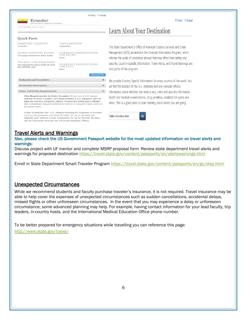**Mark Command** 

⊕ Print ⊠ Email

Ecuador

#### **Ouick Facts**

| PASSPORT VALIDITY:<br>6 months                                                       | VACCINATIONS:<br>Suggested                                                                                                                                                                                                                            |  |
|--------------------------------------------------------------------------------------|-------------------------------------------------------------------------------------------------------------------------------------------------------------------------------------------------------------------------------------------------------|--|
| <b>BLANK PASSPORT PAGES:</b><br>One page required for entry stamp                    | <b>CURRENCY RESTRICTIONS</b><br><b>FOR ENTRY:</b><br>None                                                                                                                                                                                             |  |
| TOURIST VISA REQUIRED:<br>Not required for stays under 90 days<br>per calendar year. | <b>CURRENCY RESTRICTIONS</b><br>FOR EXIT:<br>None                                                                                                                                                                                                     |  |
|                                                                                      | <b>Expand All</b>                                                                                                                                                                                                                                     |  |
| <b>Embassies and Consulates</b>                                                      |                                                                                                                                                                                                                                                       |  |
| <b>Destination Description</b>                                                       |                                                                                                                                                                                                                                                       |  |
| Entry, Exit & Visa Requirements                                                      |                                                                                                                                                                                                                                                       |  |
|                                                                                      | Visa Requirements to Enter Ecuador: If you are a U.S. citizen<br>wishing to enter Ecuador, you must present a U.S. passport with at<br>THE STATE OF A REPORT OF THE REPORT OF A STATE OF THE REPORT OF THE REPORT OF A STATE OF A STATE OF A STATE OF |  |

st six months remaining validity. Ecuadorian immigration of also sometimes request evidence of return or onward travel, such as an airline ticket.

Under Ecuadorian law, U.S. citizens traveling for business or tourism on a tourist passport can enter Ecuador for up to 90 days p calendar year without a visa. Extensions for up to another 90 days can be requested through the provincial migration offices.

### **Learn About Your Destination**

The State Department's Office of American Citizens Services and Crisis Management (ACS) administers the Consular Information Program, which informs the public of conditions abroad that may affect their safety and security. Country Specific Information, Travel Alerts, and Travel Warnings are vital parts of this program.

We provide Country Specific Information for every country of the world. You will find the location of the U.S. embassy and any consular offices, information about whether you need a visa, crime and security information, health and medical considerations, drug penalties, localized hot spots and more. This is a good place to start learning about where you are going.



Travel Alerts and Warnings<br>Also, please check the US Government Passport website for the most updated information on travel alerts and warnings:

Discuss project with UF mentor and complete MSRP proposal form -Review state department travel alerts and warnings for proposed destination<https://travel.state.gov/content/passports/en/alertswarnings.html>

Enroll in State Department Smart Traveler Program<https://travel.state.gov/content/passports/en/go/step.html>

#### Unexpected Circumstances

While we recommend students and faculty purchase traveler's insurance, it is not required. Travel insurance may be able to help cover the expenses of unexpected circumstances such as sudden cancellations, accidental delays, missed flights or other unforeseen circumstances. In the event that you may experience a delay or unforeseen circumstance, some advanced planning may help. For example, having contact information for your lead faculty, trip leaders, in-country hosts, and the International Medical Education Office phone number.

To be better prepared for emergency situations while travelling you can reference this page:

<http://www.state.gov/travel/>